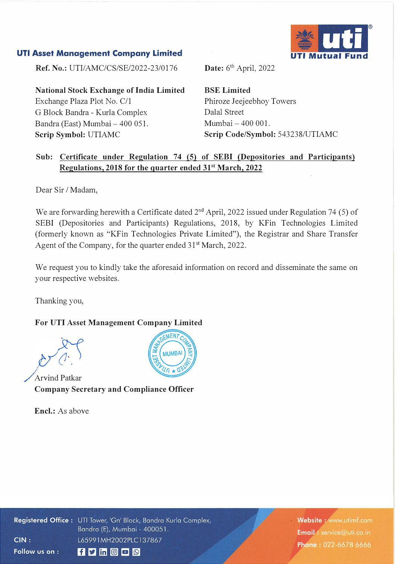## **UTI Asset Management Company Limited**



**Ref. No.:** UTI/AMC/CS/SE/2022-23/0176

**National Stock Exchange of India Limited**  Exchange Plaza Plot No. C/1 G Block Bandra - Kurla Complex Bandra (East) Mumbai - 400 051. **Scrip Symbol:** UTIAMC

Date: 6<sup>th</sup> April, 2022

**BSE Limited**  Phiroze Jeejeebhoy Towers Dalal Street  $M$ umbai  $-400001$ . **Scrip Code/Symbol:** 543238/UTIAMC

## **Sub: Certificate under Regulation 74 (5) of SEBI (Depositories and Participants) Regulations, 2018 for the quarter ended 315t March, 2022**

Dear Sir / Madam,

We are forwarding herewith a Certificate dated  $2<sup>nd</sup>$  April, 2022 issued under Regulation 74 (5) of SEBI (Depositories and Participants) Regulations, 2018, by KFin Technologies Limited (formerly known as "KFin Technologies Private Limited"), the Registrar and Share Transfer Agent of the Company, for the quarter ended 31<sup>st</sup> March, 2022.

We request you to kindly take the aforesaid information on record and disseminate the same on your respective websites.

Thanking you,

## **For UTI Asset Management Company Limited**



Arvind Patkar **Company Secretary and Compliance Officer** 

**Encl.:** As above



Registered Office: UTI Tower, 'Gn' Block, Bandra Kurla Complex, Bandra (E), Mumbai - 400051.  $CIN:$ L65991MH2002PLC137867 Follow us on :  $f$  y in  $\circ$   $\circ$   $\circ$ 

Website: www.utimf.com Email: service@uti.co.in Phone: 022-6678 6666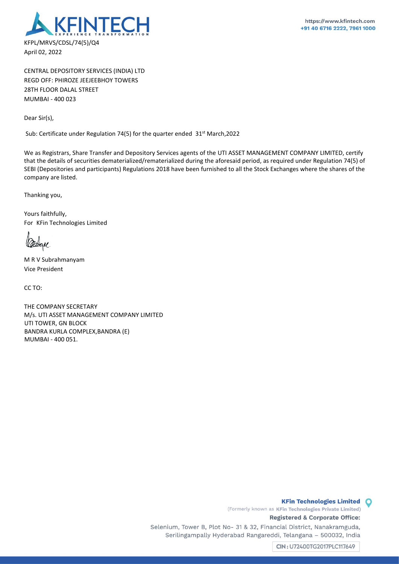

CENTRAL DEPOSITORY SERVICES (INDIA) LTD REGD OFF: PHIROZE JEEJEEBHOY TOWERS 28TH FLOOR DALAL STREET MUMBAI - 400 023

Dear Sir(s),

Sub: Certificate under Regulation 74(5) for the quarter ended 31<sup>st</sup> March, 2022

We as Registrars, Share Transfer and Depository Services agents of the UTI ASSET MANAGEMENT COMPANY LIMITED, certify that the details of securities dematerialized/rematerialized during the aforesaid period, as required under Regulation 74(5) of SEBI (Depositories and participants) Regulations 2018 have been furnished to all the Stock Exchanges where the shares of the company are listed.

Thanking you,

Yours faithfully, For KFin Technologies Limited

M R V Subrahmanyam Vice President

CC TO:

THE COMPANY SECRETARY M/s. UTI ASSET MANAGEMENT COMPANY LIMITED UTI TOWER, GN BLOCK BANDRA KURLA COMPLEX,BANDRA (E) MUMBAI - 400 051.

> (Formerly known as KFin Technologies Private Limited) Registered & Corporate Office:

Selenium, Tower B, Plot No- 31 & 32, Financial District, Nanakramguda, Serilingampally Hyderabad Rangareddi, Telangana - 500032, India

CIN: U72400TG2017PLC117649

**KFin Technologies Limited** 

 $\circ$